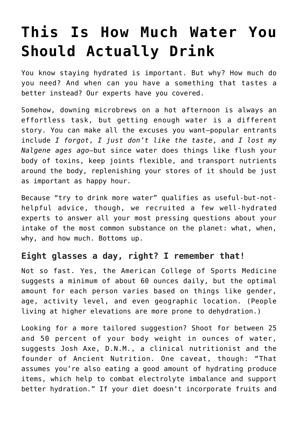# **[This Is How Much Water You](https://danielbrooksmoore.com/nowsthetime/2018/10/18/this-is-how-much-water-you-should-actually-drink/) [Should Actually Drink](https://danielbrooksmoore.com/nowsthetime/2018/10/18/this-is-how-much-water-you-should-actually-drink/)**

You know staying hydrated is important. But why? How much do you need? And when can you have a something that tastes a better instead? Our experts have you covered.

Somehow, downing microbrews on a hot afternoon is always an effortless task, but getting enough water is a different story. You can make all the excuses you want—popular entrants include *I forgot*, *I just don't like the taste*, and *I lost my Nalgene ages ago*—but since water does things like flush your body of toxins, keep joints flexible, and transport nutrients around the body, replenishing your stores of it should be just as important as happy hour.

Because "try to drink more water" qualifies as useful-but-nothelpful advice, though, we recruited a few well-hydrated experts to answer all your most pressing questions about your intake of the most common substance on the planet: what, when, why, and how much. Bottoms up.

#### **Eight glasses a day, right? I remember that!**

Not so fast. Yes, the American College of Sports Medicine suggests a minimum of about 60 ounces daily, but the optimal amount for each person varies based on things like gender, age, activity level, and even geographic location. (People living at higher elevations are more prone to dehydration.)

Looking for a more tailored suggestion? Shoot for between 25 and 50 percent of your body weight in ounces of water, suggests Josh Axe, D.N.M., a clinical nutritionist and the founder of [Ancient Nutrition](http://ancientnutrition.com/about-2/). One caveat, though: "That assumes you're also eating a good amount of hydrating produce items, which help to combat electrolyte imbalance and support better hydration." If your diet doesn't incorporate fruits and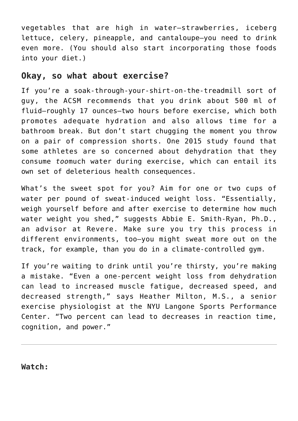vegetables that are high in water—strawberries, iceberg lettuce, celery, pineapple, and cantaloupe—you need to drink even more. (You should also start incorporating those foods into your diet.)

#### **Okay, so what about exercise?**

If you're a soak-through-your-shirt-on-the-treadmill sort of guy, the ACSM [recommends](https://www.ncbi.nlm.nih.gov/pubmed/17277604) that you drink about 500 ml of fluid—roughly 17 ounces—two hours before exercise, which both promotes adequate hydration and also allows time for a bathroom break. But don't start chugging the moment you throw on a pair of compression shorts. One 2015 [study](https://journals.lww.com/cjsportsmed/Fulltext/2015/07000/Statement_of_the_%20Third_International.2.a) found that some athletes are so concerned about dehydration that they consume *too*much water during exercise, which can entail its own set of deleterious health consequences.

What's the sweet spot for you? Aim for one or two cups of water per pound of sweat-induced weight loss. "Essentially, weigh yourself before and after exercise to determine how much water weight you shed," suggests Abbie E. Smith-Ryan, Ph.D., an advisor at [Revere](https://revere.co/). Make sure you try this process in different environments, too—you might sweat more out on the track, for example, than you do in a climate-controlled gym.

If you're waiting to drink until you're thirsty, you're making a mistake. "Even a one-percent weight loss from dehydration can lead to increased muscle fatigue, decreased speed, and decreased strength," says Heather Milton, M.S., a senior exercise physiologist at the [NYU Langone Sports Performance](https://nyulangone.org/locations/sports-performance-center) [Center.](https://nyulangone.org/locations/sports-performance-center) "Two percent can lead to decreases in reaction time, cognition, and power."

**Watch:**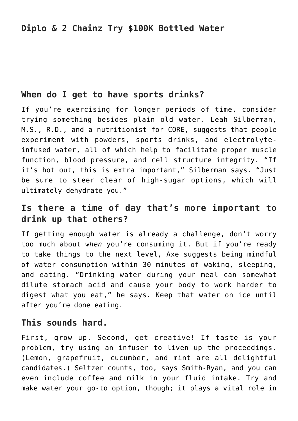### **When do I get to have sports drinks?**

If you're exercising for longer periods of time, consider trying something besides plain old water. Leah Silberman, M.S., R.D., and a nutritionist for [CORE,](https://hydratewithcore.com/) suggests that people experiment with powders, sports drinks, and electrolyteinfused water, all of which help to facilitate proper muscle function, blood pressure, and cell structure integrity. "If it's hot out, this is extra important," Silberman says. "Just be sure to steer clear of high-sugar options, which will ultimately dehydrate you."

## **Is there a time of day that's more important to drink up that others?**

If getting enough water is already a challenge, don't worry too much about *when* you're consuming it. But if you're ready to take things to the next level, Axe suggests being mindful of water consumption within 30 minutes of waking, sleeping, and eating. "Drinking water during your meal can somewhat dilute stomach acid and cause your body to work harder to digest what you eat," he says. Keep that water on ice until after you're done eating.

#### **This sounds hard.**

First, grow up. Second, get creative! If taste is your problem, try using an infuser to liven up the proceedings. (Lemon, grapefruit, cucumber, and mint are all delightful candidates.) Seltzer counts, too, says Smith-Ryan, and you can even include coffee and milk in your fluid intake. Try and make water your go-to option, though; it plays a vital role in